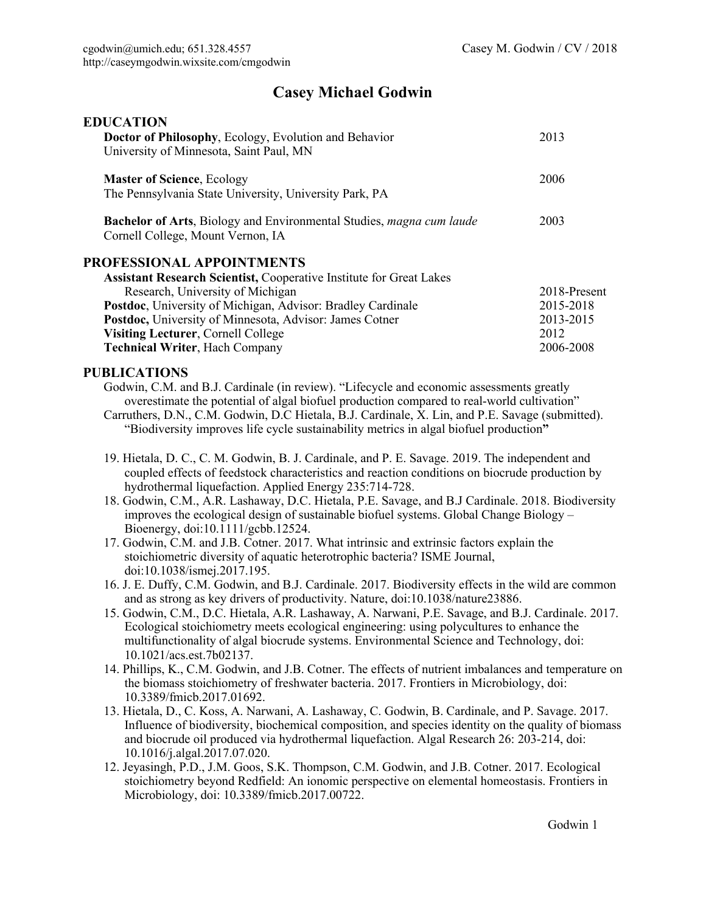## **Casey Michael Godwin**

| <b>EDUCATION</b>                                                                                          |              |
|-----------------------------------------------------------------------------------------------------------|--------------|
| <b>Doctor of Philosophy, Ecology, Evolution and Behavior</b>                                              | 2013         |
| University of Minnesota, Saint Paul, MN                                                                   |              |
| <b>Master of Science, Ecology</b>                                                                         | 2006         |
| The Pennsylvania State University, University Park, PA                                                    |              |
| Bachelor of Arts, Biology and Environmental Studies, magna cum laude<br>Cornell College, Mount Vernon, IA | 2003         |
| PROFESSIONAL APPOINTMENTS                                                                                 |              |
| <b>Assistant Research Scientist, Cooperative Institute for Great Lakes</b>                                |              |
| Research, University of Michigan                                                                          | 2018-Present |
| Postdoc, University of Michigan, Advisor: Bradley Cardinale                                               | 2015-2018    |
| Postdoc, University of Minnesota, Advisor: James Cotner                                                   | 2013-2015    |
| Visiting Lecturer, Cornell College                                                                        | 2012         |
| <b>Technical Writer, Hach Company</b>                                                                     | 2006-2008    |

## **PUBLICATIONS**

Godwin, C.M. and B.J. Cardinale (in review). "Lifecycle and economic assessments greatly overestimate the potential of algal biofuel production compared to real-world cultivation"

Carruthers, D.N., C.M. Godwin, D.C Hietala, B.J. Cardinale, X. Lin, and P.E. Savage (submitted). "Biodiversity improves life cycle sustainability metrics in algal biofuel production**"**

- 19. Hietala, D. C., C. M. Godwin, B. J. Cardinale, and P. E. Savage. 2019. The independent and coupled effects of feedstock characteristics and reaction conditions on biocrude production by hydrothermal liquefaction. Applied Energy 235:714-728.
- 18. Godwin, C.M., A.R. Lashaway, D.C. Hietala, P.E. Savage, and B.J Cardinale. 2018. Biodiversity improves the ecological design of sustainable biofuel systems. Global Change Biology  $-$ Bioenergy, doi:10.1111/gcbb.12524.
- 17. Godwin, C.M. and J.B. Cotner. 2017. What intrinsic and extrinsic factors explain the stoichiometric diversity of aquatic heterotrophic bacteria? ISME Journal, doi:10.1038/ismej.2017.195.
- 16. J. E. Duffy, C.M. Godwin, and B.J. Cardinale. 2017. Biodiversity effects in the wild are common and as strong as key drivers of productivity. Nature, doi:10.1038/nature23886.
- 15. Godwin, C.M., D.C. Hietala, A.R. Lashaway, A. Narwani, P.E. Savage, and B.J. Cardinale. 2017. Ecological stoichiometry meets ecological engineering: using polycultures to enhance the multifunctionality of algal biocrude systems. Environmental Science and Technology, doi: 10.1021/acs.est.7b02137.
- 14. Phillips, K., C.M. Godwin, and J.B. Cotner. The effects of nutrient imbalances and temperature on the biomass stoichiometry of freshwater bacteria. 2017. Frontiers in Microbiology, doi: 10.3389/fmicb.2017.01692.
- 13. Hietala, D., C. Koss, A. Narwani, A. Lashaway, C. Godwin, B. Cardinale, and P. Savage. 2017. Influence of biodiversity, biochemical composition, and species identity on the quality of biomass and biocrude oil produced via hydrothermal liquefaction. Algal Research 26: 203-214, doi: 10.1016/j.algal.2017.07.020.
- 12. Jeyasingh, P.D., J.M. Goos, S.K. Thompson, C.M. Godwin, and J.B. Cotner. 2017. Ecological stoichiometry beyond Redfield: An ionomic perspective on elemental homeostasis. Frontiers in Microbiology, doi: 10.3389/fmicb.2017.00722.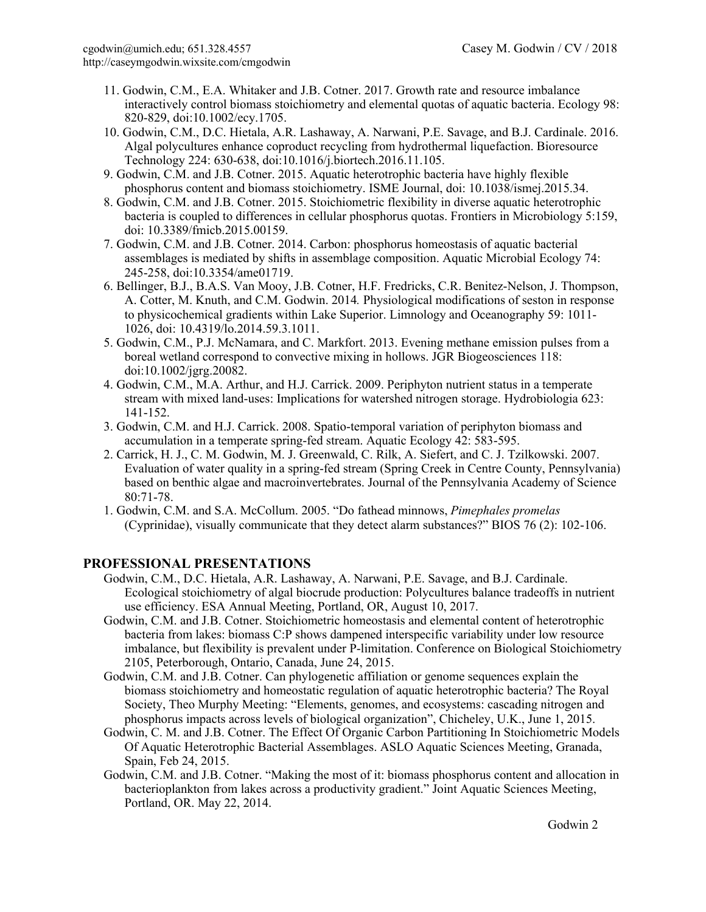- 11. Godwin, C.M., E.A. Whitaker and J.B. Cotner. 2017. Growth rate and resource imbalance interactively control biomass stoichiometry and elemental quotas of aquatic bacteria. Ecology 98: 820-829, doi:10.1002/ecy.1705.
- 10. Godwin, C.M., D.C. Hietala, A.R. Lashaway, A. Narwani, P.E. Savage, and B.J. Cardinale. 2016. Algal polycultures enhance coproduct recycling from hydrothermal liquefaction. Bioresource Technology 224: 630-638, doi:10.1016/j.biortech.2016.11.105.
- 9. Godwin, C.M. and J.B. Cotner. 2015. Aquatic heterotrophic bacteria have highly flexible phosphorus content and biomass stoichiometry. ISME Journal, doi: 10.1038/ismej.2015.34.
- 8. Godwin, C.M. and J.B. Cotner. 2015. Stoichiometric flexibility in diverse aquatic heterotrophic bacteria is coupled to differences in cellular phosphorus quotas. Frontiers in Microbiology 5:159, doi: 10.3389/fmicb.2015.00159.
- 7. Godwin, C.M. and J.B. Cotner. 2014. Carbon: phosphorus homeostasis of aquatic bacterial assemblages is mediated by shifts in assemblage composition. Aquatic Microbial Ecology 74: 245-258, doi:10.3354/ame01719.
- 6. Bellinger, B.J., B.A.S. Van Mooy, J.B. Cotner, H.F. Fredricks, C.R. Benitez-Nelson, J. Thompson, A. Cotter, M. Knuth, and C.M. Godwin. 2014*.* Physiological modifications of seston in response to physicochemical gradients within Lake Superior. Limnology and Oceanography 59: 1011- 1026, doi: 10.4319/lo.2014.59.3.1011.
- 5. Godwin, C.M., P.J. McNamara, and C. Markfort. 2013. Evening methane emission pulses from a boreal wetland correspond to convective mixing in hollows. JGR Biogeosciences 118: doi:10.1002/jgrg.20082.
- 4. Godwin, C.M., M.A. Arthur, and H.J. Carrick. 2009. Periphyton nutrient status in a temperate stream with mixed land-uses: Implications for watershed nitrogen storage. Hydrobiologia 623: 141-152.
- 3. Godwin, C.M. and H.J. Carrick. 2008. Spatio-temporal variation of periphyton biomass and accumulation in a temperate spring-fed stream. Aquatic Ecology 42: 583-595.
- 2. Carrick, H. J., C. M. Godwin, M. J. Greenwald, C. Rilk, A. Siefert, and C. J. Tzilkowski. 2007. Evaluation of water quality in a spring-fed stream (Spring Creek in Centre County, Pennsylvania) based on benthic algae and macroinvertebrates. Journal of the Pennsylvania Academy of Science 80:71-78.
- 1. Godwin, C.M. and S.A. McCollum. 2005. "Do fathead minnows, *Pimephales promelas*  (Cyprinidae), visually communicate that they detect alarm substances?" BIOS 76 (2): 102-106.

## **PROFESSIONAL PRESENTATIONS**

- Godwin, C.M., D.C. Hietala, A.R. Lashaway, A. Narwani, P.E. Savage, and B.J. Cardinale. Ecological stoichiometry of algal biocrude production: Polycultures balance tradeoffs in nutrient use efficiency. ESA Annual Meeting, Portland, OR, August 10, 2017.
- Godwin, C.M. and J.B. Cotner. Stoichiometric homeostasis and elemental content of heterotrophic bacteria from lakes: biomass C:P shows dampened interspecific variability under low resource imbalance, but flexibility is prevalent under P-limitation. Conference on Biological Stoichiometry 2105, Peterborough, Ontario, Canada, June 24, 2015.
- Godwin, C.M. and J.B. Cotner. Can phylogenetic affiliation or genome sequences explain the biomass stoichiometry and homeostatic regulation of aquatic heterotrophic bacteria? The Royal Society, Theo Murphy Meeting: "Elements, genomes, and ecosystems: cascading nitrogen and phosphorus impacts across levels of biological organization", Chicheley, U.K., June 1, 2015.
- Godwin, C. M. and J.B. Cotner. The Effect Of Organic Carbon Partitioning In Stoichiometric Models Of Aquatic Heterotrophic Bacterial Assemblages. ASLO Aquatic Sciences Meeting, Granada, Spain, Feb 24, 2015.
- Godwin, C.M. and J.B. Cotner. "Making the most of it: biomass phosphorus content and allocation in bacterioplankton from lakes across a productivity gradient." Joint Aquatic Sciences Meeting, Portland, OR. May 22, 2014.